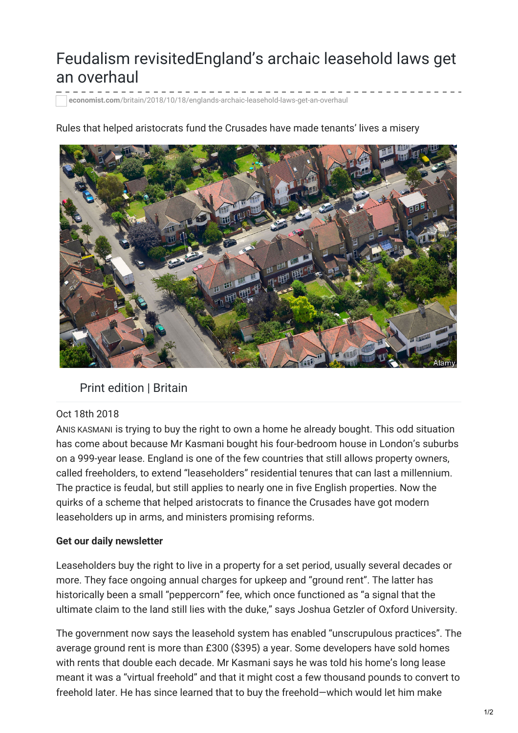# Feudalism revisitedEngland's archaic leasehold laws get an overhaul

**economist.com**[/britain/2018/10/18/englands-archaic-leasehold-laws-get-an-overhaul](https://www.economist.com/britain/2018/10/18/englands-archaic-leasehold-laws-get-an-overhaul)

# Rules that helped aristocrats fund the Crusades have made tenants' lives a misery

# Print edition | Britain

## Oct 18th 2018

ANIS KASMANI is trying to buy the right to own a home he already bought. This odd situation has come about because Mr Kasmani bought his four-bedroom house in London's suburbs on a 999-year lease. England is one of the few countries that still allows property owners, called freeholders, to extend "leaseholders" residential tenures that can last a millennium. The practice is feudal, but still applies to nearly one in five English properties. Now the quirks of a scheme that helped aristocrats to finance the Crusades have got modern leaseholders up in arms, and ministers promising reforms.

## **Get our daily newsletter**

Leaseholders buy the right to live in a property for a set period, usually several decades or more. They face ongoing annual charges for upkeep and "ground rent". The latter has historically been a small "peppercorn" fee, which once functioned as "a signal that the ultimate claim to the land still lies with the duke," says Joshua Getzler of Oxford University.

The government now says the leasehold system has enabled "unscrupulous practices". The average ground rent is more than £300 (\$395) a year. Some developers have sold homes with rents that double each decade. Mr Kasmani says he was told his home's long lease meant it was a "virtual freehold" and that it might cost a few thousand pounds to convert to freehold later. He has since learned that to buy the freehold—which would let him make